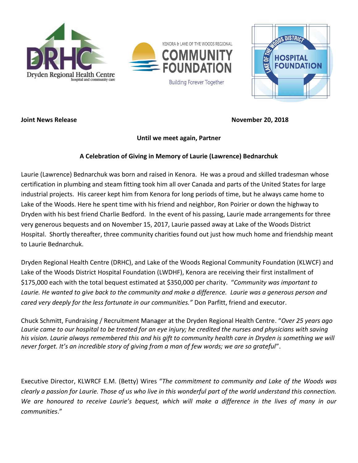





**Joint News Release November 20, 2018** 

## **Until we meet again, Partner**

## **A Celebration of Giving in Memory of Laurie (Lawrence) Bednarchuk**

Laurie (Lawrence) Bednarchuk was born and raised in Kenora. He was a proud and skilled tradesman whose certification in plumbing and steam fitting took him all over Canada and parts of the United States for large industrial projects. His career kept him from Kenora for long periods of time, but he always came home to Lake of the Woods. Here he spent time with his friend and neighbor, Ron Poirier or down the highway to Dryden with his best friend Charlie Bedford. In the event of his passing, Laurie made arrangements for three very generous bequests and on November 15, 2017, Laurie passed away at Lake of the Woods District Hospital. Shortly thereafter, three community charities found out just how much home and friendship meant to Laurie Bednarchuk.

Dryden Regional Health Centre (DRHC), and Lake of the Woods Regional Community Foundation (KLWCF) and Lake of the Woods District Hospital Foundation (LWDHF), Kenora are receiving their first installment of \$175,000 each with the total bequest estimated at \$350,000 per charity. "*Community was important to Laurie. He wanted to give back to the community and make a difference. Laurie was a generous person and cared very deeply for the less fortunate in our communities."* Don Parfitt, friend and executor.

Chuck Schmitt, Fundraising / Recruitment Manager at the Dryden Regional Health Centre. "*Over 25 years ago Laurie came to our hospital to be treated for an eye injury; he credited the nurses and physicians with saving*  his vision. Laurie always remembered this and his gift to community health care in Dryden is something we will *never forget. It's an incredible story of giving from a man of few words; we are so grateful*".

Executive Director, KLWRCF E.M. (Betty) Wires "*The commitment to community and Lake of the Woods was clearly a passion for Laurie. Those of us who live in this wonderful part of the world understand this connection. We are honoured to receive Laurie's bequest, which will make a difference in the lives of many in our communities*."